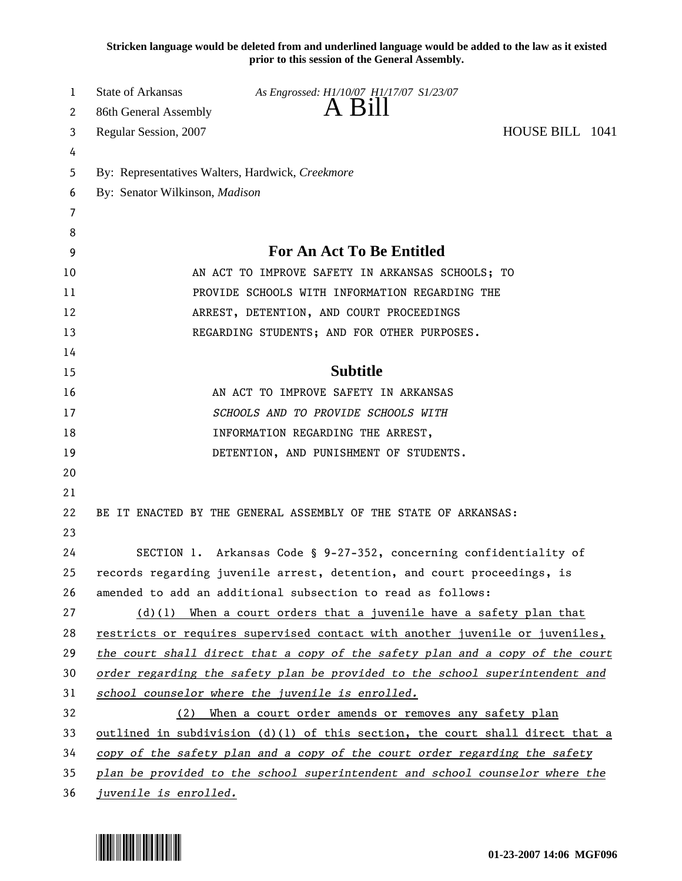**Stricken language would be deleted from and underlined language would be added to the law as it existed prior to this session of the General Assembly.**

| 1  | State of Arkansas                                                               | As Engrossed: H1/10/07 H1/17/07 S1/23/07    |  |  |  |
|----|---------------------------------------------------------------------------------|---------------------------------------------|--|--|--|
| 2  | 86th General Assembly                                                           | A Bill                                      |  |  |  |
| 3  | HOUSE BILL 1041<br>Regular Session, 2007                                        |                                             |  |  |  |
| 4  |                                                                                 |                                             |  |  |  |
| 5  | By: Representatives Walters, Hardwick, Creekmore                                |                                             |  |  |  |
| 6  | By: Senator Wilkinson, Madison                                                  |                                             |  |  |  |
| 7  |                                                                                 |                                             |  |  |  |
| 8  |                                                                                 |                                             |  |  |  |
| 9  | <b>For An Act To Be Entitled</b>                                                |                                             |  |  |  |
| 10 | AN ACT TO IMPROVE SAFETY IN ARKANSAS SCHOOLS; TO                                |                                             |  |  |  |
| 11 | PROVIDE SCHOOLS WITH INFORMATION REGARDING THE                                  |                                             |  |  |  |
| 12 | ARREST, DETENTION, AND COURT PROCEEDINGS                                        |                                             |  |  |  |
| 13 |                                                                                 | REGARDING STUDENTS; AND FOR OTHER PURPOSES. |  |  |  |
| 14 |                                                                                 |                                             |  |  |  |
| 15 |                                                                                 | <b>Subtitle</b>                             |  |  |  |
| 16 | AN ACT TO IMPROVE SAFETY IN ARKANSAS                                            |                                             |  |  |  |
| 17 | SCHOOLS AND TO PROVIDE SCHOOLS WITH                                             |                                             |  |  |  |
| 18 | INFORMATION REGARDING THE ARREST,                                               |                                             |  |  |  |
| 19 | DETENTION, AND PUNISHMENT OF STUDENTS.                                          |                                             |  |  |  |
| 20 |                                                                                 |                                             |  |  |  |
| 21 |                                                                                 |                                             |  |  |  |
| 22 | BE IT ENACTED BY THE GENERAL ASSEMBLY OF THE STATE OF ARKANSAS:                 |                                             |  |  |  |
| 23 |                                                                                 |                                             |  |  |  |
| 24 | SECTION 1. Arkansas Code § 9-27-352, concerning confidentiality of              |                                             |  |  |  |
| 25 | records regarding juvenile arrest, detention, and court proceedings, is         |                                             |  |  |  |
| 26 | amended to add an additional subsection to read as follows:                     |                                             |  |  |  |
| 27 | $(d)(1)$ When a court orders that a juvenile have a safety plan that            |                                             |  |  |  |
| 28 | restricts or requires supervised contact with another juvenile or juveniles,    |                                             |  |  |  |
| 29 | the court shall direct that a copy of the safety plan and a copy of the court   |                                             |  |  |  |
| 30 | order regarding the safety plan be provided to the school superintendent and    |                                             |  |  |  |
| 31 | school counselor where the juvenile is enrolled.                                |                                             |  |  |  |
| 32 | When a court order amends or removes any safety plan<br>(2)                     |                                             |  |  |  |
| 33 | outlined in subdivision $(d)(1)$ of this section, the court shall direct that a |                                             |  |  |  |
| 34 | copy of the safety plan and a copy of the court order regarding the safety      |                                             |  |  |  |
| 35 | plan be provided to the school superintendent and school counselor where the    |                                             |  |  |  |
| 36 | juvenile is enrolled.                                                           |                                             |  |  |  |